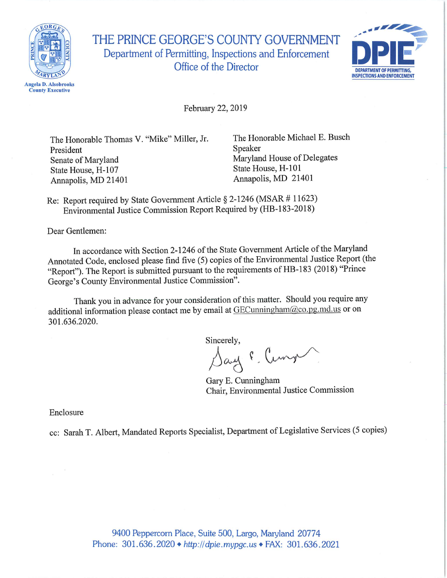

#### THE PRINCE GEORGE'S COUNTY GOVERNMENT Department of Permitting, Inspections and Enforcement Office of the Director



February 22, 2019

The Honorable Thomas V. "Mike" Miller, Jr. President Senate of Maryland State House, H-107 Annapolis, MD 21401

The Honorable Michael E. Busch Speaker Maryland House of Delegates State House, H-101 Annapolis, MD 21401

Re: Report required by State Government Article § 2-1246 (MSAR # 11623) Environmental Justice Commission Report Required by (HB-183-2018)

Dear Gentlemen:

In accordance with Section 2-1246 of the State Government Article of the Maryland Annotated Code, enclosed please find five (5) copies of the Environmental Justice Report (the "Report"). The Report is submitted pursuant to the requirements of HB-183 (2018) "Prince George's County Environmental Justice Commission".

Thank you in advance for your consideration of this matter. Should you require any additional information please contact me by email at GECunningham@co.pg.md.us or on 301.636.2020.

Sincerely,

Jay 8. Curry

Gary E. Cunningham Chair, Environmental Justice Commission

Enclosure

cc: Sarah T. Albert, Mandated Reports Specialist, Department of Legislative Services (5 copies)

9400 Peppercorn Place, Suite 500, Largo, Maryland 20774 Phone: 301.636.2020 • http://dpie.mypgc.us • FAX: 301.636.2021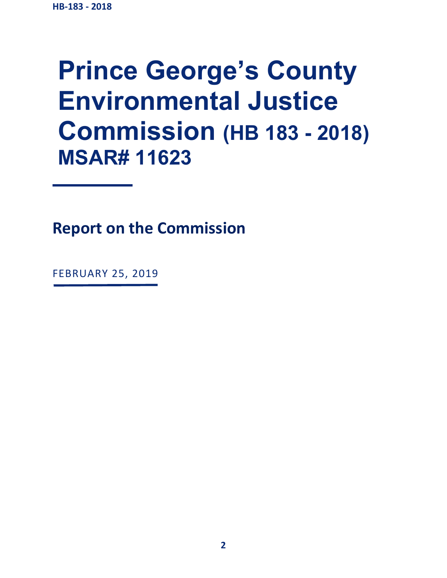# **Prince George's County Environmental Justice Commission (HB 183 - 2018) MSAR# 11623**

**Report on the Commission** 

FEBRUARY 25, 2019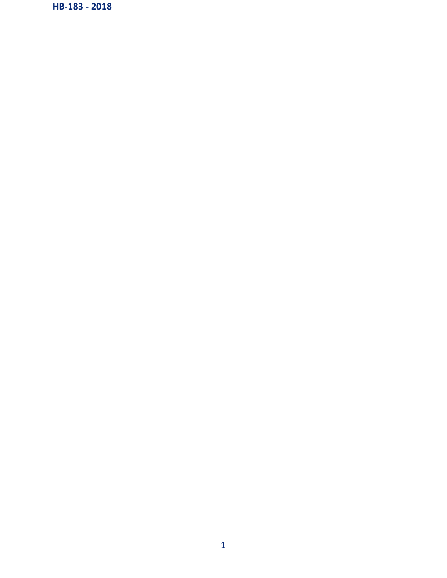HB-183 - 2018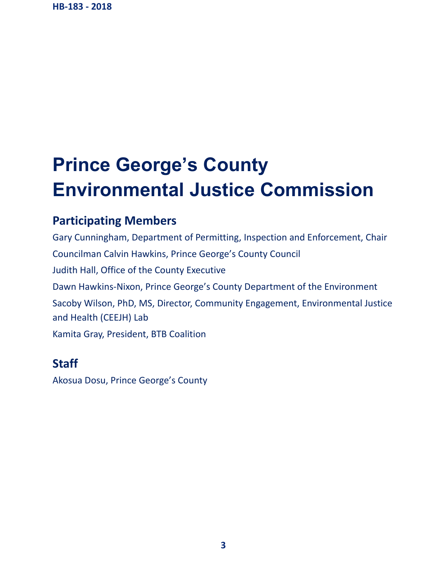**HB‐183 ‐ 2018** 

## **Prince George's County Environmental Justice Commission**

#### **Participating Members**

Gary Cunningham, Department of Permitting, Inspection and Enforcement, Chair Councilman Calvin Hawkins, Prince George's County Council Judith Hall, Office of the County Executive Dawn Hawkins‐Nixon, Prince George's County Department of the Environment Sacoby Wilson, PhD, MS, Director, Community Engagement, Environmental Justice and Health (CEEJH) Lab Kamita Gray, President, BTB Coalition

#### **Staff**

Akosua Dosu, Prince George's County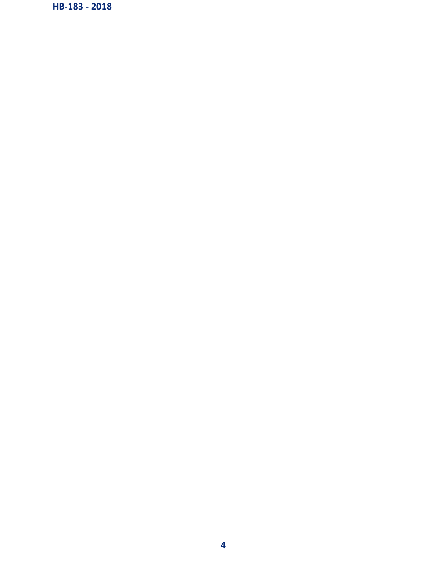HB-183 - 2018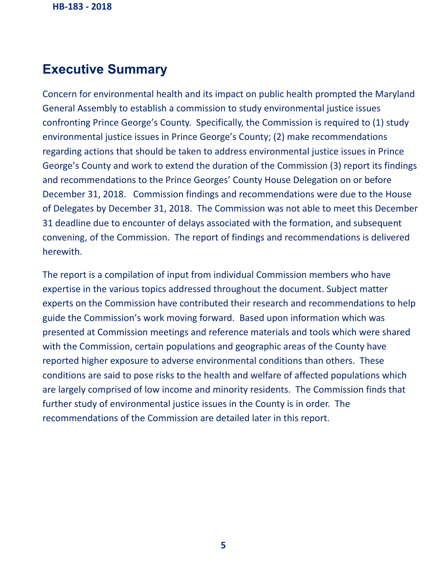## **Executive Summary**

Concern for environmental health and its impact on public health prompted the Maryland General Assembly to establish a commission to study environmental justice issues confronting Prince George's County. Specifically, the Commission is required to (1) study environmental justice issues in Prince George's County; (2) make recommendations regarding actions that should be taken to address environmental justice issues in Prince George's County and work to extend the duration of the Commission (3) report its findings and recommendations to the Prince Georges' County House Delegation on or before December 31, 2018. Commission findings and recommendations were due to the House of Delegates by December 31, 2018. The Commission was not able to meet this December 31 deadline due to encounter of delays associated with the formation, and subsequent convening, of the Commission. The report of findings and recommendations is delivered herewith.

The report is a compilation of input from individual Commission members who have expertise in the various topics addressed throughout the document. Subject matter experts on the Commission have contributed their research and recommendations to help guide the Commission's work moving forward. Based upon information which was presented at Commission meetings and reference materials and tools which were shared with the Commission, certain populations and geographic areas of the County have reported higher exposure to adverse environmental conditions than others. These conditions are said to pose risks to the health and welfare of affected populations which are largely comprised of low income and minority residents. The Commission finds that further study of environmental justice issues in the County is in order. The recommendations of the Commission are detailed later in this report.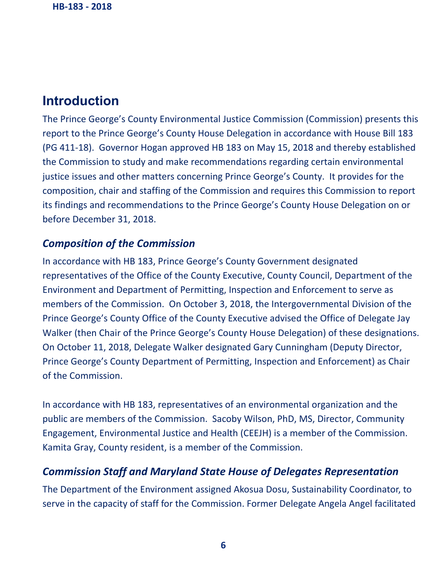## **Introduction**

The Prince George's County Environmental Justice Commission (Commission) presents this report to the Prince George's County House Delegation in accordance with House Bill 183 (PG 411‐18). Governor Hogan approved HB 183 on May 15, 2018 and thereby established the Commission to study and make recommendations regarding certain environmental justice issues and other matters concerning Prince George's County. It provides for the composition, chair and staffing of the Commission and requires this Commission to report its findings and recommendations to the Prince George's County House Delegation on or before December 31, 2018.

#### *Composition of the Commission*

In accordance with HB 183, Prince George's County Government designated representatives of the Office of the County Executive, County Council, Department of the Environment and Department of Permitting, Inspection and Enforcement to serve as members of the Commission. On October 3, 2018, the Intergovernmental Division of the Prince George's County Office of the County Executive advised the Office of Delegate Jay Walker (then Chair of the Prince George's County House Delegation) of these designations. On October 11, 2018, Delegate Walker designated Gary Cunningham (Deputy Director, Prince George's County Department of Permitting, Inspection and Enforcement) as Chair of the Commission.

In accordance with HB 183, representatives of an environmental organization and the public are members of the Commission. Sacoby Wilson, PhD, MS, Director, Community Engagement, Environmental Justice and Health (CEEJH) is a member of the Commission. Kamita Gray, County resident, is a member of the Commission.

#### *Commission Staff and Maryland State House of Delegates Representation*

The Department of the Environment assigned Akosua Dosu, Sustainability Coordinator, to serve in the capacity of staff for the Commission. Former Delegate Angela Angel facilitated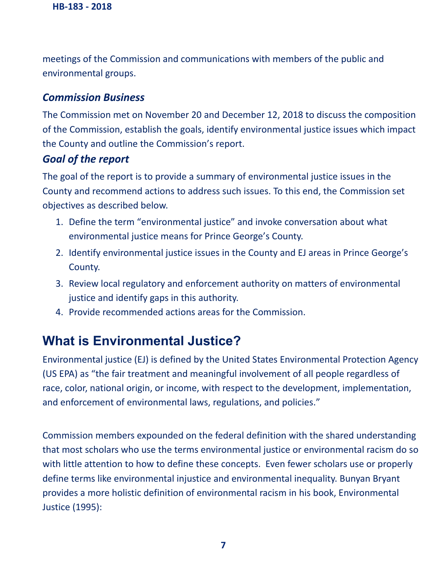meetings of the Commission and communications with members of the public and environmental groups.

#### *Commission Business*

The Commission met on November 20 and December 12, 2018 to discuss the composition of the Commission, establish the goals, identify environmental justice issues which impact the County and outline the Commission's report.

#### *Goal of the report*

The goal of the report is to provide a summary of environmental justice issues in the County and recommend actions to address such issues. To this end, the Commission set objectives as described below.

- 1. Define the term "environmental justice" and invoke conversation about what environmental justice means for Prince George's County.
- 2. Identify environmental justice issues in the County and EJ areas in Prince George's County.
- 3. Review local regulatory and enforcement authority on matters of environmental justice and identify gaps in this authority.
- 4. Provide recommended actions areas for the Commission.

## **What is Environmental Justice?**

Environmental justice (EJ) is defined by the United States Environmental Protection Agency (US EPA) as "the fair treatment and meaningful involvement of all people regardless of race, color, national origin, or income, with respect to the development, implementation, and enforcement of environmental laws, regulations, and policies."

Commission members expounded on the federal definition with the shared understanding that most scholars who use the terms environmental justice or environmental racism do so with little attention to how to define these concepts. Even fewer scholars use or properly define terms like environmental injustice and environmental inequality. Bunyan Bryant provides a more holistic definition of environmental racism in his book, Environmental Justice (1995):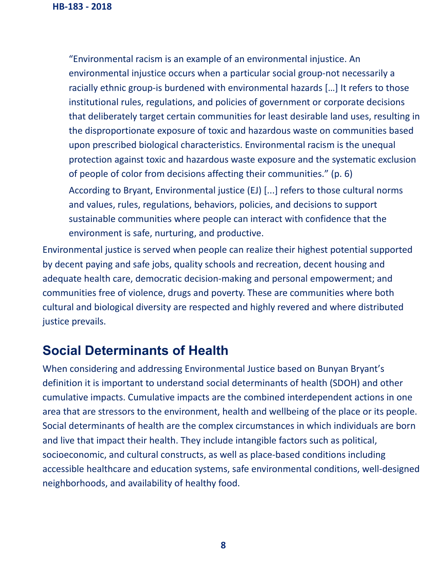"Environmental racism is an example of an environmental injustice. An environmental injustice occurs when a particular social group‐not necessarily a racially ethnic group‐is burdened with environmental hazards […] It refers to those institutional rules, regulations, and policies of government or corporate decisions that deliberately target certain communities for least desirable land uses, resulting in the disproportionate exposure of toxic and hazardous waste on communities based upon prescribed biological characteristics. Environmental racism is the unequal protection against toxic and hazardous waste exposure and the systematic exclusion of people of color from decisions affecting their communities." (p. 6)

According to Bryant, Environmental justice (EJ) [...] refers to those cultural norms and values, rules, regulations, behaviors, policies, and decisions to support sustainable communities where people can interact with confidence that the environment is safe, nurturing, and productive.

Environmental justice is served when people can realize their highest potential supported by decent paying and safe jobs, quality schools and recreation, decent housing and adequate health care, democratic decision‐making and personal empowerment; and communities free of violence, drugs and poverty. These are communities where both cultural and biological diversity are respected and highly revered and where distributed justice prevails.

## **Social Determinants of Health**

When considering and addressing Environmental Justice based on Bunyan Bryant's definition it is important to understand social determinants of health (SDOH) and other cumulative impacts. Cumulative impacts are the combined interdependent actions in one area that are stressors to the environment, health and wellbeing of the place or its people. Social determinants of health are the complex circumstances in which individuals are born and live that impact their health. They include intangible factors such as political, socioeconomic, and cultural constructs, as well as place‐based conditions including accessible healthcare and education systems, safe environmental conditions, well‐designed neighborhoods, and availability of healthy food.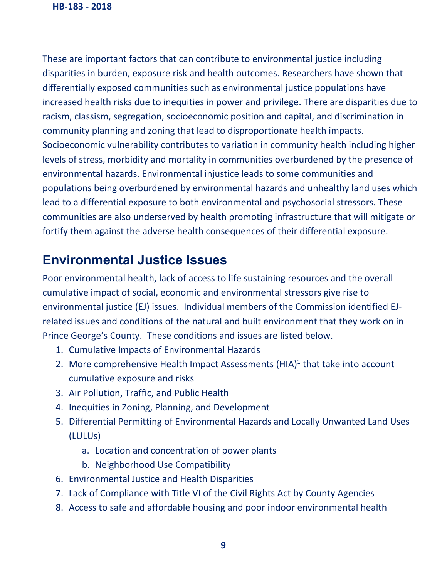These are important factors that can contribute to environmental justice including disparities in burden, exposure risk and health outcomes. Researchers have shown that differentially exposed communities such as environmental justice populations have increased health risks due to inequities in power and privilege. There are disparities due to racism, classism, segregation, socioeconomic position and capital, and discrimination in community planning and zoning that lead to disproportionate health impacts. Socioeconomic vulnerability contributes to variation in community health including higher levels of stress, morbidity and mortality in communities overburdened by the presence of environmental hazards. Environmental injustice leads to some communities and populations being overburdened by environmental hazards and unhealthy land uses which lead to a differential exposure to both environmental and psychosocial stressors. These communities are also underserved by health promoting infrastructure that will mitigate or fortify them against the adverse health consequences of their differential exposure.

### **Environmental Justice Issues**

Poor environmental health, lack of access to life sustaining resources and the overall cumulative impact of social, economic and environmental stressors give rise to environmental justice (EJ) issues. Individual members of the Commission identified EJ‐ related issues and conditions of the natural and built environment that they work on in Prince George's County. These conditions and issues are listed below.

- 1. Cumulative Impacts of Environmental Hazards
- 2. More comprehensive Health Impact Assessments  $(HIA)^1$  that take into account cumulative exposure and risks
- 3. Air Pollution, Traffic, and Public Health
- 4. Inequities in Zoning, Planning, and Development
- 5. Differential Permitting of Environmental Hazards and Locally Unwanted Land Uses (LULUs)
	- a. Location and concentration of power plants
	- b. Neighborhood Use Compatibility
- 6. Environmental Justice and Health Disparities
- 7. Lack of Compliance with Title VI of the Civil Rights Act by County Agencies
- 8. Access to safe and affordable housing and poor indoor environmental health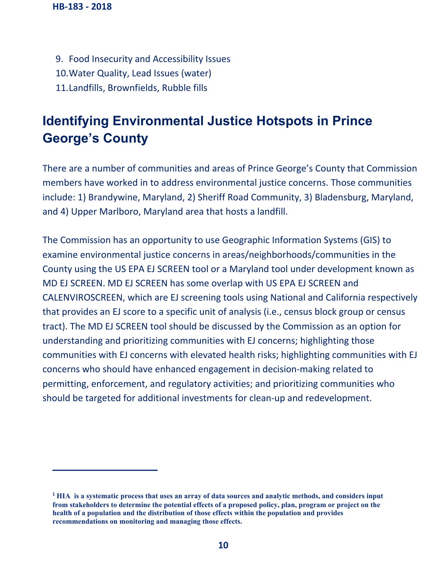9. Food Insecurity and Accessibility Issues 10.Water Quality, Lead Issues (water) 11.Landfills, Brownfields, Rubble fills

## **Identifying Environmental Justice Hotspots in Prince George's County**

There are a number of communities and areas of Prince George's County that Commission members have worked in to address environmental justice concerns. Those communities include: 1) Brandywine, Maryland, 2) Sheriff Road Community, 3) Bladensburg, Maryland, and 4) Upper Marlboro, Maryland area that hosts a landfill.

The Commission has an opportunity to use Geographic Information Systems (GIS) to examine environmental justice concerns in areas/neighborhoods/communities in the County using the US EPA EJ SCREEN tool or a Maryland tool under development known as MD EJ SCREEN. MD EJ SCREEN has some overlap with US EPA EJ SCREEN and CALENVIROSCREEN, which are EJ screening tools using National and California respectively that provides an EJ score to a specific unit of analysis (i.e., census block group or census tract). The MD EJ SCREEN tool should be discussed by the Commission as an option for understanding and prioritizing communities with EJ concerns; highlighting those communities with EJ concerns with elevated health risks; highlighting communities with EJ concerns who should have enhanced engagement in decision‐making related to permitting, enforcement, and regulatory activities; and prioritizing communities who should be targeted for additional investments for clean‐up and redevelopment.

**<sup>1</sup> HIA is a systematic process that uses an array of data sources and analytic methods, and considers input from stakeholders to determine the potential effects of a proposed policy, plan, program or project on the health of a population and the distribution of those effects within the population and provides recommendations on monitoring and managing those effects.**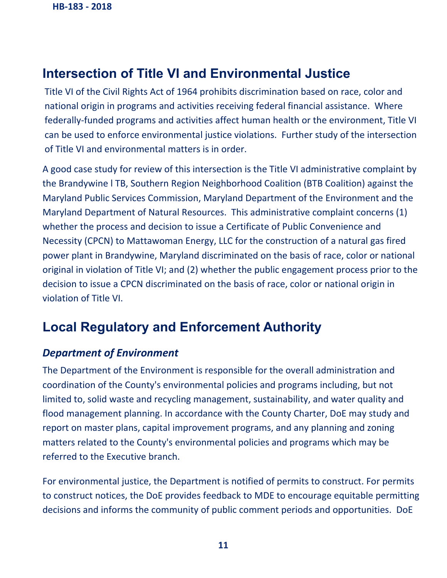## **Intersection of Title VI and Environmental Justice**

Title VI of the Civil Rights Act of 1964 prohibits discrimination based on race, color and national origin in programs and activities receiving federal financial assistance. Where federally‐funded programs and activities affect human health or the environment, Title VI can be used to enforce environmental justice violations. Further study of the intersection of Title VI and environmental matters is in order.

A good case study for review of this intersection is the Title VI administrative complaint by the Brandywine l TB, Southern Region Neighborhood Coalition (BTB Coalition) against the Maryland Public Services Commission, Maryland Department of the Environment and the Maryland Department of Natural Resources. This administrative complaint concerns (1) whether the process and decision to issue a Certificate of Public Convenience and Necessity (CPCN) to Mattawoman Energy, LLC for the construction of a natural gas fired power plant in Brandywine, Maryland discriminated on the basis of race, color or national original in violation of Title VI; and (2) whether the public engagement process prior to the decision to issue a CPCN discriminated on the basis of race, color or national origin in violation of Title VI.

## **Local Regulatory and Enforcement Authority**

#### *Department of Environment*

The Department of the Environment is responsible for the overall administration and coordination of the County's environmental policies and programs including, but not limited to, solid waste and recycling management, sustainability, and water quality and flood management planning. In accordance with the County Charter, DoE may study and report on master plans, capital improvement programs, and any planning and zoning matters related to the County's environmental policies and programs which may be referred to the Executive branch.

For environmental justice, the Department is notified of permits to construct. For permits to construct notices, the DoE provides feedback to MDE to encourage equitable permitting decisions and informs the community of public comment periods and opportunities. DoE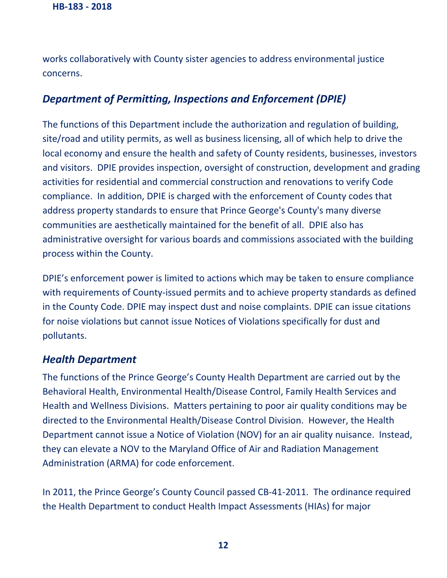works collaboratively with County sister agencies to address environmental justice concerns.

#### *Department of Permitting, Inspections and Enforcement (DPIE)*

The functions of this Department include the authorization and regulation of building, site/road and utility permits, as well as business licensing, all of which help to drive the local economy and ensure the health and safety of County residents, businesses, investors and visitors. DPIE provides inspection, oversight of construction, development and grading activities for residential and commercial construction and renovations to verify Code compliance. In addition, DPIE is charged with the enforcement of County codes that address property standards to ensure that Prince George's County's many diverse communities are aesthetically maintained for the benefit of all. DPIE also has administrative oversight for various boards and commissions associated with the building process within the County.

DPIE's enforcement power is limited to actions which may be taken to ensure compliance with requirements of County-issued permits and to achieve property standards as defined in the County Code. DPIE may inspect dust and noise complaints. DPIE can issue citations for noise violations but cannot issue Notices of Violations specifically for dust and pollutants.

#### *Health Department*

The functions of the Prince George's County Health Department are carried out by the Behavioral Health, Environmental Health/Disease Control, Family Health Services and Health and Wellness Divisions. Matters pertaining to poor air quality conditions may be directed to the Environmental Health/Disease Control Division. However, the Health Department cannot issue a Notice of Violation (NOV) for an air quality nuisance. Instead, they can elevate a NOV to the Maryland Office of Air and Radiation Management Administration (ARMA) for code enforcement.

In 2011, the Prince George's County Council passed CB‐41‐2011. The ordinance required the Health Department to conduct Health Impact Assessments (HIAs) for major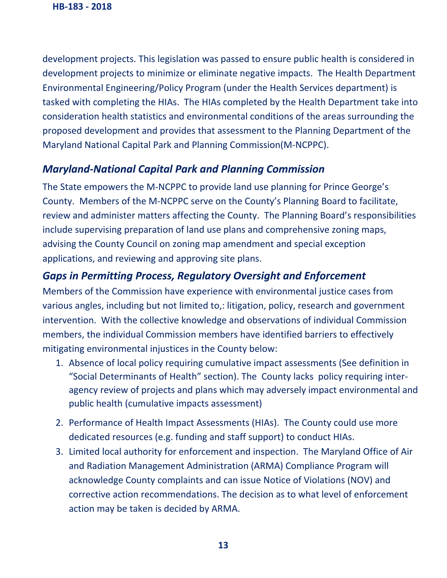development projects. This legislation was passed to ensure public health is considered in development projects to minimize or eliminate negative impacts. The Health Department Environmental Engineering/Policy Program (under the Health Services department) is tasked with completing the HIAs. The HIAs completed by the Health Department take into consideration health statistics and environmental conditions of the areas surrounding the proposed development and provides that assessment to the Planning Department of the Maryland National Capital Park and Planning Commission(M‐NCPPC).

#### *Maryland‐National Capital Park and Planning Commission*

The State empowers the M‐NCPPC to provide land use planning for Prince George's County. Members of the M‐NCPPC serve on the County's Planning Board to facilitate, review and administer matters affecting the County. The Planning Board's responsibilities include supervising preparation of land use plans and comprehensive zoning maps, advising the County Council on zoning map amendment and special exception applications, and reviewing and approving site plans.

#### *Gaps in Permitting Process, Regulatory Oversight and Enforcement*

Members of the Commission have experience with environmental justice cases from various angles, including but not limited to,: litigation, policy, research and government intervention. With the collective knowledge and observations of individual Commission members, the individual Commission members have identified barriers to effectively mitigating environmental injustices in the County below:

- 1. Absence of local policy requiring cumulative impact assessments (See definition in "Social Determinants of Health" section). The County lacks policy requiring inter‐ agency review of projects and plans which may adversely impact environmental and public health (cumulative impacts assessment)
- 2. Performance of Health Impact Assessments (HIAs). The County could use more dedicated resources (e.g. funding and staff support) to conduct HIAs.
- 3. Limited local authority for enforcement and inspection. The Maryland Office of Air and Radiation Management Administration (ARMA) Compliance Program will acknowledge County complaints and can issue Notice of Violations (NOV) and corrective action recommendations. The decision as to what level of enforcement action may be taken is decided by ARMA.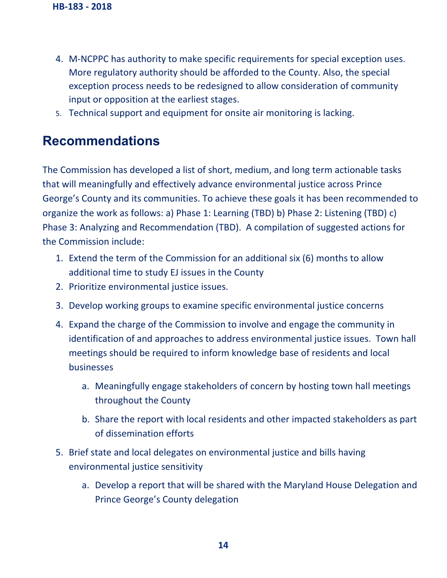- 4. M‐NCPPC has authority to make specific requirements for special exception uses. More regulatory authority should be afforded to the County. Also, the special exception process needs to be redesigned to allow consideration of community input or opposition at the earliest stages.
- 5. Technical support and equipment for onsite air monitoring is lacking.

### **Recommendations**

The Commission has developed a list of short, medium, and long term actionable tasks that will meaningfully and effectively advance environmental justice across Prince George's County and its communities. To achieve these goals it has been recommended to organize the work as follows: a) Phase 1: Learning (TBD) b) Phase 2: Listening (TBD) c) Phase 3: Analyzing and Recommendation (TBD). A compilation of suggested actions for the Commission include:

- 1. Extend the term of the Commission for an additional six (6) months to allow additional time to study EJ issues in the County
- 2. Prioritize environmental justice issues.
- 3. Develop working groups to examine specific environmental justice concerns
- 4. Expand the charge of the Commission to involve and engage the community in identification of and approaches to address environmental justice issues. Town hall meetings should be required to inform knowledge base of residents and local businesses
	- a. Meaningfully engage stakeholders of concern by hosting town hall meetings throughout the County
	- b. Share the report with local residents and other impacted stakeholders as part of dissemination efforts
- 5. Brief state and local delegates on environmental justice and bills having environmental justice sensitivity
	- a. Develop a report that will be shared with the Maryland House Delegation and Prince George's County delegation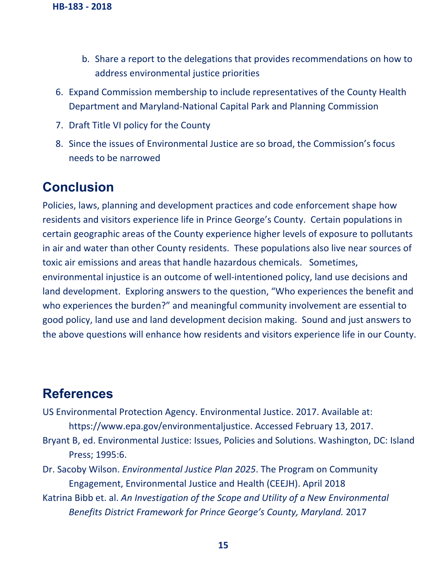- b. Share a report to the delegations that provides recommendations on how to address environmental justice priorities
- 6. Expand Commission membership to include representatives of the County Health Department and Maryland‐National Capital Park and Planning Commission
- 7. Draft Title VI policy for the County
- 8. Since the issues of Environmental Justice are so broad, the Commission's focus needs to be narrowed

#### **Conclusion**

Policies, laws, planning and development practices and code enforcement shape how residents and visitors experience life in Prince George's County. Certain populations in certain geographic areas of the County experience higher levels of exposure to pollutants in air and water than other County residents. These populations also live near sources of toxic air emissions and areas that handle hazardous chemicals. Sometimes, environmental injustice is an outcome of well‐intentioned policy, land use decisions and land development. Exploring answers to the question, "Who experiences the benefit and who experiences the burden?" and meaningful community involvement are essential to good policy, land use and land development decision making. Sound and just answers to the above questions will enhance how residents and visitors experience life in our County.

### **References**

- US Environmental Protection Agency. Environmental Justice. 2017. Available at: https://www.epa.gov/environmentaljustice. Accessed February 13, 2017.
- Bryant B, ed. Environmental Justice: Issues, Policies and Solutions. Washington, DC: Island Press; 1995:6.
- Dr. Sacoby Wilson. *Environmental Justice Plan 2025*. The Program on Community Engagement, Environmental Justice and Health (CEEJH). April 2018 Katrina Bibb et. al. *An Investigation of the Scope and Utility of a New Environmental Benefits District Framework for Prince George's County, Maryland.* 2017